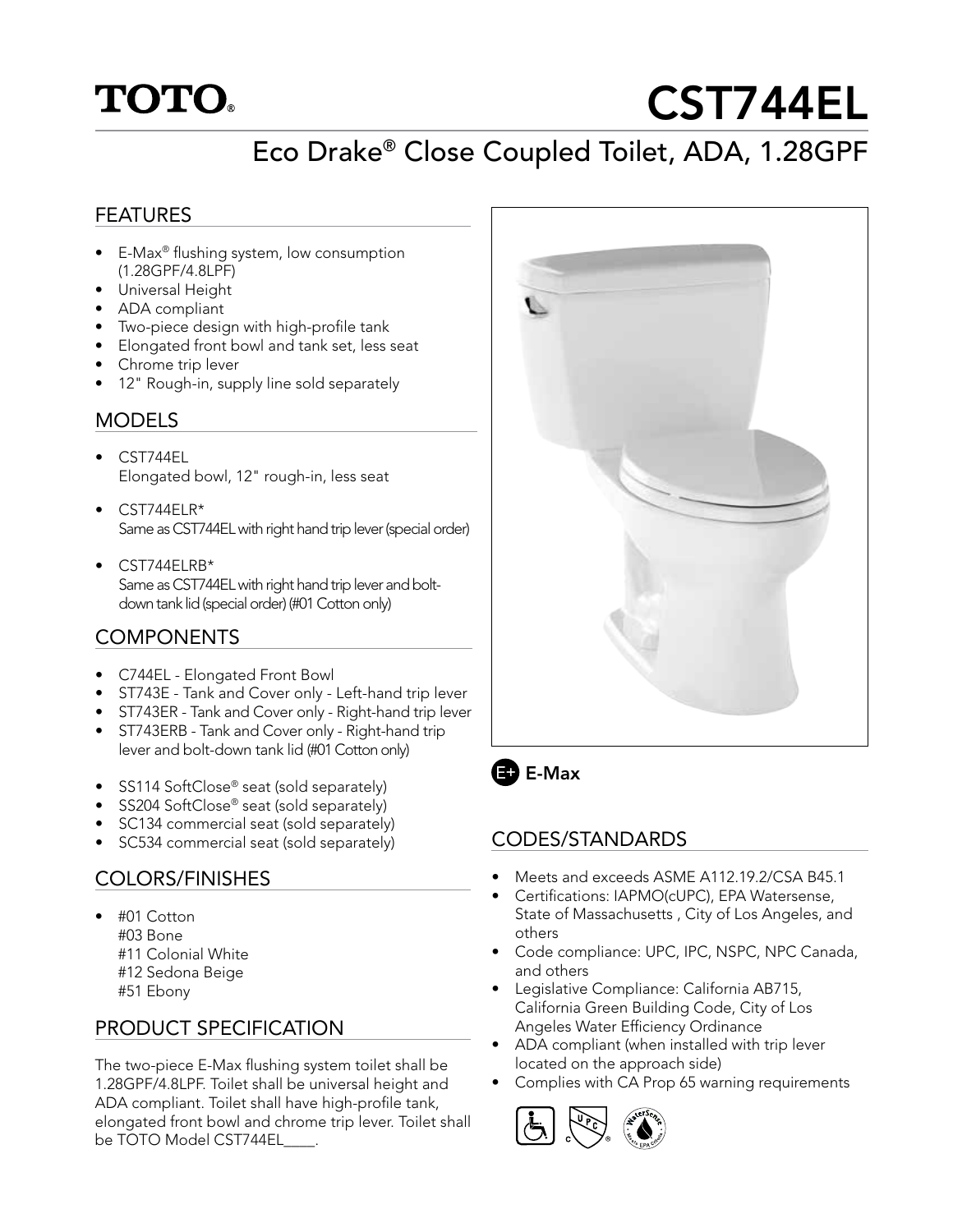

# CST744EL

# Eco Drake® Close Coupled Toilet, ADA, 1.28GPF

#### FEATURES

- E-Max® flushing system, low consumption (1.28GPF/4.8LPF)
- Universal Height
- ADA compliant
- Two-piece design with high-profile tank
- Elongated front bowl and tank set, less seat
- Chrome trip lever
- 12" Rough-in, supply line sold separately

#### **MODELS**

- CST744EL Elongated bowl, 12" rough-in, less seat
- CST744ELR\* Same as CST744EL with right hand trip lever (special order)
- CST744ELRB\* Same as CST744EL with right hand trip lever and boltdown tank lid (special order) (#01 Cotton only)

## **COMPONENTS**

- C744EL Elongated Front Bowl
- ST743E Tank and Cover only Left-hand trip lever
- ST743ER Tank and Cover only Right-hand trip lever
- ST743ERB Tank and Cover only Right-hand trip lever and bolt-down tank lid (#01 Cotton only)
- SS114 SoftClose® seat (sold separately)
- SS204 SoftClose® seat (sold separately)
- SC134 commercial seat (sold separately)
- SC534 commercial seat (sold separately)

# COLORS/FINISHES

• #01 Cotton #03 Bone #11 Colonial White #12 Sedona Beige #51 Ebony

## PRODUCT SPECIFICATION

The two-piece E-Max flushing system toilet shall be 1.28GPF/4.8LPF. Toilet shall be universal height and ADA compliant. Toilet shall have high-profile tank, elongated front bowl and chrome trip lever. Toilet shall be TOTO Model CST744EL



# **ED** E-Max

## CODES/STANDARDS

- Meets and exceeds ASME A112.19.2/CSA B45.1
- Certifications: IAPMO(cUPC), EPA Watersense, State of Massachusetts , City of Los Angeles, and others
- Code compliance: UPC, IPC, NSPC, NPC Canada, and others
- Legislative Compliance: California AB715, California Green Building Code, City of Los Angeles Water Efficiency Ordinance
- ADA compliant (when installed with trip lever located on the approach side)
- Complies with CA Prop 65 warning requirements